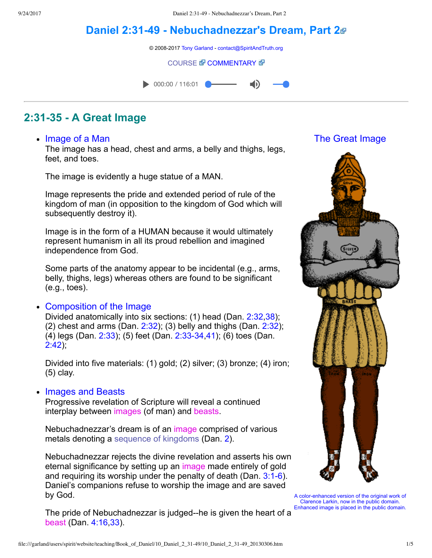# **[Daniel 2:3149 Nebuchadnezzar's Dream, Part 2](file:///garland/users/spirit/website/teaching/Book_of_Daniel/10_Daniel_2_31-49/index.htm)**

© 2008-2017 [Tony Garland](file:///garland/users/spirit/website/teaching/teachers/tony_garland/bio.htm) - [contact@SpiritAndTruth.org](mailto:contact@SpiritAndTruth.org?subject=ST-MAIL:%20Daniel%202:31-49%20-%20Nebuchadnezzar%27s%20Dream,%20Part%202)

#### **[COURSE](file:///garland/users/spirit/website/teaching/Book_of_Daniel/10_Daniel_2_31-49/index.htm) & [COMMENTARY](file:///garland/users/spirit/website/teaching/Book_of_Daniel/commentary/htm/index.html?Daniel_2:31) &**

 $\bullet$  000:00 / 116:01

## **2:3135 A Great Image**

#### • Image of a Man

The image has a head, chest and arms, a belly and thighs, legs, feet, and toes.

The image is evidently a huge statue of a MAN.

Image represents the pride and extended period of rule of the kingdom of man (in opposition to the kingdom of God which will subsequently destroy it).

Image is in the form of a HUMAN because it would ultimately represent humanism in all its proud rebellion and imagined independence from God.

Some parts of the anatomy appear to be incidental (e.g., arms, belly, thighs, legs) whereas others are found to be significant (e.g., toes).

#### Composition of the Image

Divided anatomically into six sections: (1) head (Dan. [2:32](http://www.spiritandtruth.org/bibles/nasb/b27c002.htm#Dan._C2V32)[,38\)](http://www.spiritandtruth.org/bibles/nasb/b27c002.htm#Dan._C2V38); (2) chest and arms (Dan.  $2:32$ ); (3) belly and thighs (Dan.  $2:32$ ); (4)  $legs$  (Dan.  $2:33$ ); (5) feet (Dan.  $2:33-34,41$ ); (6) toes (Dan. [2:42](http://www.spiritandtruth.org/bibles/nasb/b27c002.htm#Dan._C2V42));

Divided into five materials: (1) gold; (2) silver; (3) bronze; (4) iron; (5) clay.

#### • Images and Beasts

Progressive revelation of Scripture will reveal a continued interplay between images (of man) and beasts.

Nebuchadnezzar's dream is of an image comprised of various metals denoting a [sequence of kingdoms](file:///garland/users/spirit/website/teaching/Book_of_Daniel/11_Sequence_of_Kingdoms/index.htm) (Dan. [2](http://www.spiritandtruth.org/bibles/nasb/b27c002.htm#Dan._C2V1)).

Nebuchadnezzar rejects the divine revelation and asserts his own eternal significance by setting up an image made entirely of gold and requiring its worship under the penalty of death (Dan.  $3:1-6$ ). Daniel's companions refuse to worship the image and are saved by God.

The pride of Nebuchadnezzar is judged--he is given the heart of a beast (Dan. [4:16,](http://www.spiritandtruth.org/bibles/nasb/b27c004.htm#Dan._C4V16)[33\)](http://www.spiritandtruth.org/bibles/nasb/b27c004.htm#Dan._C4V33).

### The Great Image



A color-enhanced version of the original work of [Clarence Larkin](http://www.clarencelarkincharts.com/), now in the public domain. Enhanced image is placed in the public domain.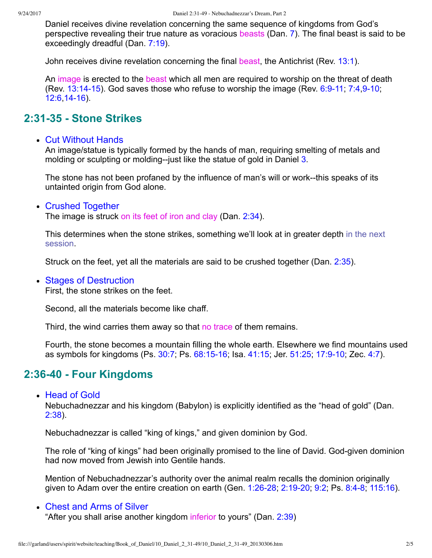Daniel receives divine revelation concerning the same sequence of kingdoms from God's perspective revealing their true nature as voracious beasts (Dan. [7\)](http://www.spiritandtruth.org/bibles/nasb/b27c007.htm#Dan._C7V1). The final beast is said to be exceedingly dreadful (Dan. [7:19\)](http://www.spiritandtruth.org/bibles/nasb/b27c007.htm#Dan._C7V19).

John receives divine revelation concerning the final beast, the Antichrist (Rev. [13:1](http://www.spiritandtruth.org/bibles/nasb/b66c013.htm#Rev._C13V1)).

An image is erected to the beast which all men are required to worship on the threat of death (Rev.  $13:14-15$ ). God saves those who refuse to worship the image (Rev.  $6:9-11$ ; [7:4,](http://www.spiritandtruth.org/bibles/nasb/b66c007.htm#Rev._C7V4)9-10; [12:6](http://www.spiritandtruth.org/bibles/nasb/b66c012.htm#Rev._C12V6),[1416\)](http://www.spiritandtruth.org/bibles/nasb/b66c012.htm#Rev._C12V14).

## **2:3135 Stone Strikes**

#### Cut Without Hands

An image/statue is typically formed by the hands of man, requiring smelting of metals and molding or sculpting or molding--just like the statue of gold in Daniel [3.](http://www.spiritandtruth.org/bibles/nasb/b27c003.htm#Dan._C3V1)

The stone has not been profaned by the influence of man's will or work--this speaks of its untainted origin from God alone.

#### Crushed Together

The image is struck on its feet of iron and clay (Dan. [2:34\)](http://www.spiritandtruth.org/bibles/nasb/b27c002.htm#Dan._C2V34).

[This determines when the stone strikes, something we'll look at in greater depth in the next](file:///garland/users/spirit/website/teaching/Book_of_Daniel/11_Sequence_of_Kingdoms/index.htm) session.

Struck on the feet, yet all the materials are said to be crushed together (Dan. [2:35](http://www.spiritandtruth.org/bibles/nasb/b27c002.htm#Dan._C2V35)).

#### • Stages of Destruction

First, the stone strikes on the feet.

Second, all the materials become like chaff.

Third, the wind carries them away so that no trace of them remains.

Fourth, the stone becomes a mountain filling the whole earth. Elsewhere we find mountains used as symbols for kingdoms (Ps. [30:7;](http://www.spiritandtruth.org/bibles/nasb/b19c030.htm#Ps._C30V7) Ps. 68:15-16; Isa. [41:15;](http://www.spiritandtruth.org/bibles/nasb/b23c041.htm#Isa._C41V15) Jer. [51:25](http://www.spiritandtruth.org/bibles/nasb/b24c051.htm#Jer._C51V25), 17:9-10; Zec. [4:7](http://www.spiritandtruth.org/bibles/nasb/b38c004.htm#Zec._C4V7)).

## **2:3640 Four Kingdoms**

• Head of Gold

Nebuchadnezzar and his kingdom (Babylon) is explicitly identified as the "head of gold" (Dan. [2:38](http://www.spiritandtruth.org/bibles/nasb/b27c002.htm#Dan._C2V38)).

Nebuchadnezzar is called "king of kings," and given dominion by God.

The role of "king of kings" had been originally promised to the line of David. God-given dominion had now moved from Jewish into Gentile hands.

Mention of Nebuchadnezzar's authority over the animal realm recalls the dominion originally given to Adam over the entire creation on earth (Gen. 1:26-28, 2:19-20, 9:2, Ps. 8:4-8, [115:16\)](http://www.spiritandtruth.org/bibles/nasb/b19c115.htm#Ps._C115V16).

#### Chest and Arms of Silver "After you shall arise another kingdom inferior to yours" (Dan. [2:39\)](http://www.spiritandtruth.org/bibles/nasb/b27c002.htm#Dan._C2V39)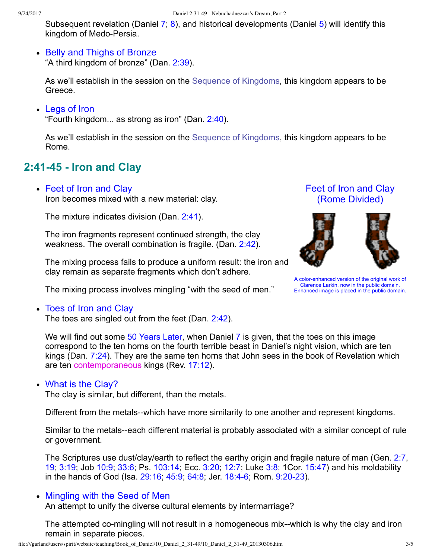Subsequent revelation (Daniel [7;](http://www.spiritandtruth.org/bibles/nasb/b27c007.htm#Dan._C7V1) [8](http://www.spiritandtruth.org/bibles/nasb/b27c008.htm#Dan._C8V1)), and historical developments (Daniel [5](http://www.spiritandtruth.org/bibles/nasb/b27c005.htm#Dan._C5V1)) will identify this kingdom of Medo-Persia.

• Belly and Thighs of Bronze

"A third kingdom of bronze" (Dan. [2:39](http://www.spiritandtruth.org/bibles/nasb/b27c002.htm#Dan._C2V39)).

As we'll establish in the session on the [Sequence of Kingdoms,](file:///garland/users/spirit/website/teaching/Book_of_Daniel/11_Sequence_of_Kingdoms/index.htm) this kingdom appears to be Greece.

• Legs of Iron

"Fourth kingdom... as strong as iron" (Dan. [2:40](http://www.spiritandtruth.org/bibles/nasb/b27c002.htm#Dan._C2V40)).

As we'll establish in the session on the [Sequence of Kingdoms,](file:///garland/users/spirit/website/teaching/Book_of_Daniel/11_Sequence_of_Kingdoms/index.htm) this kingdom appears to be Rome.

# **2:4145 Iron and Clay**

• Feet of Iron and Clay

Iron becomes mixed with a new material: clay.

The mixture indicates division (Dan. [2:41\)](http://www.spiritandtruth.org/bibles/nasb/b27c002.htm#Dan._C2V41).

The iron fragments represent continued strength, the clay weakness. The overall combination is fragile. (Dan. [2:42\)](http://www.spiritandtruth.org/bibles/nasb/b27c002.htm#Dan._C2V42).

The mixing process fails to produce a uniform result: the iron and clay remain as separate fragments which don't adhere.





A color-enhanced version of the original work of [Clarence Larkin](http://www.clarencelarkincharts.com/), now in the public domain. Enhanced image is placed in the public domain.

The mixing process involves mingling "with the seed of men."

• Toes of Iron and Clay

The toes are singled out from the feet (Dan. [2:42](http://www.spiritandtruth.org/bibles/nasb/b27c002.htm#Dan._C2V42)).

We will find out some [50 Years Later](file:///garland/users/spirit/website/teaching/Book_of_Daniel/commentary/htm/index.html?Chronology_of_Daniel), when Daniel [7](http://www.spiritandtruth.org/bibles/nasb/b27c007.htm#Dan._C7V1) is given, that the toes on this image correspond to the ten horns on the fourth terrible beast in Daniel's night vision, which are ten kings (Dan. [7:24\)](http://www.spiritandtruth.org/bibles/nasb/b27c007.htm#Dan._C7V24). They are the same ten horns that John sees in the book of Revelation which are ten contemporaneous kings (Rev. [17:12\)](http://www.spiritandtruth.org/bibles/nasb/b66c017.htm#Rev._C17V12).

## • What is the Clay?

The clay is similar, but different, than the metals.

Different from the metals--which have more similarity to one another and represent kingdoms.

Similar to the metals--each different material is probably associated with a similar concept of rule or government.

The Scriptures use dust/clay/earth to reflect the earthy origin and fragile nature of man (Gen. [2:7](http://www.spiritandtruth.org/bibles/nasb/b01c002.htm#Gen._C2V7), [19;](http://www.spiritandtruth.org/bibles/nasb/b01c002.htm#Gen._C2V19) [3:19;](http://www.spiritandtruth.org/bibles/nasb/b01c003.htm#Gen._C3V19) Job [10:9](http://www.spiritandtruth.org/bibles/nasb/b18c010.htm#Job_C10V9); [33:6](http://www.spiritandtruth.org/bibles/nasb/b18c033.htm#Job_C33V6); Ps. [103:14;](http://www.spiritandtruth.org/bibles/nasb/b19c103.htm#Ps._C103V14) Ecc. [3:20](http://www.spiritandtruth.org/bibles/nasb/b21c003.htm#Ecc._C3V20); [12:7](http://www.spiritandtruth.org/bibles/nasb/b21c012.htm#Ecc._C12V7); Luke [3:8;](http://www.spiritandtruth.org/bibles/nasb/b42c003.htm#Luke_C3V8) 1Cor. [15:47\)](http://www.spiritandtruth.org/bibles/nasb/b46c015.htm#1Cor._C15V47) and his moldability in the hands of God (Isa. 29:16, 45:9, [64:8](http://www.spiritandtruth.org/bibles/nasb/b23c064.htm#Isa._C64V8); Jer. 18:4-6; Rom. 9:20-23).

## • Mingling with the Seed of Men

An attempt to unify the diverse cultural elements by intermarriage?

The attempted co-mingling will not result in a homogeneous mix--which is why the clay and iron remain in separate pieces.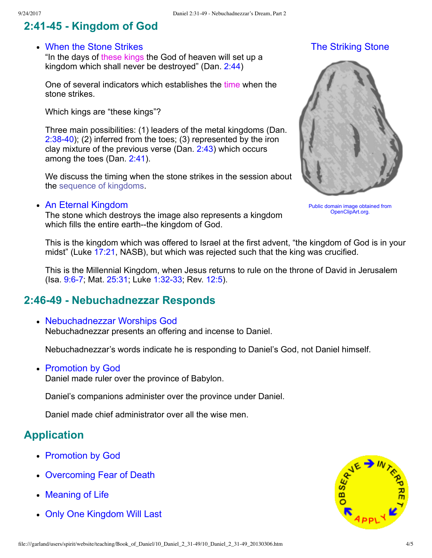# **2:4145 Kingdom of God**

#### When the Stone Strikes

"In the days of these kings the God of heaven will set up a kingdom which shall never be destroyed" (Dan. [2:44](http://www.spiritandtruth.org/bibles/nasb/b27c002.htm#Dan._C2V44))

One of several indicators which establishes the time when the stone strikes.

Which kings are "these kings"?

Three main possibilities: (1) leaders of the metal kingdoms (Dan. 2:38-40); (2) inferred from the toes; (3) represented by the iron clay mixture of the previous verse (Dan. [2:43](http://www.spiritandtruth.org/bibles/nasb/b27c002.htm#Dan._C2V43)) which occurs among the toes (Dan. [2:41](http://www.spiritandtruth.org/bibles/nasb/b27c002.htm#Dan._C2V41)).

We discuss the timing when the stone strikes in the session about the [sequence of kingdoms](file:///garland/users/spirit/website/teaching/Book_of_Daniel/11_Sequence_of_Kingdoms/index.htm).

#### An Eternal Kingdom

The stone which destroys the image also represents a kingdom which fills the entire earth--the kingdom of God.

The Striking Stone



[Public domain image obtained from](file:///garland/users/spirit/website/teaching/Book_of_Daniel/10_Daniel_2_31-49/Angelo_Gemmi_stone.png) [OpenClipArt.org](http://openclipart.org/image/250px/svg_to_png/17864/Angelo_Gemmi_stone.png).

This is the kingdom which was offered to Israel at the first advent, "the kingdom of God is in your midst" (Luke [17:21,](http://www.spiritandtruth.org/bibles/nasb/b42c017.htm#Luke_C17V21) NASB), but which was rejected such that the king was crucified.

This is the Millennial Kingdom, when Jesus returns to rule on the throne of David in Jerusalem (Isa. 9:6-7; Mat. [25:31;](http://www.spiritandtruth.org/bibles/nasb/b40c025.htm#Mat._C25V31) Luke 1:32-33; Rev. [12:5\)](http://www.spiritandtruth.org/bibles/nasb/b66c012.htm#Rev._C12V5).

## **2:4649 Nebuchadnezzar Responds**

Nebuchadnezzar Worships God

Nebuchadnezzar presents an offering and incense to Daniel.

Nebuchadnezzar's words indicate he is responding to Daniel's God, not Daniel himself.

• Promotion by God

Daniel made ruler over the province of Babylon.

Daniel's companions administer over the province under Daniel.

Daniel made chief administrator over all the wise men.

## **Application**

- Promotion by God
- Overcoming Fear of Death
- Meaning of Life
- Only One Kingdom Will Last